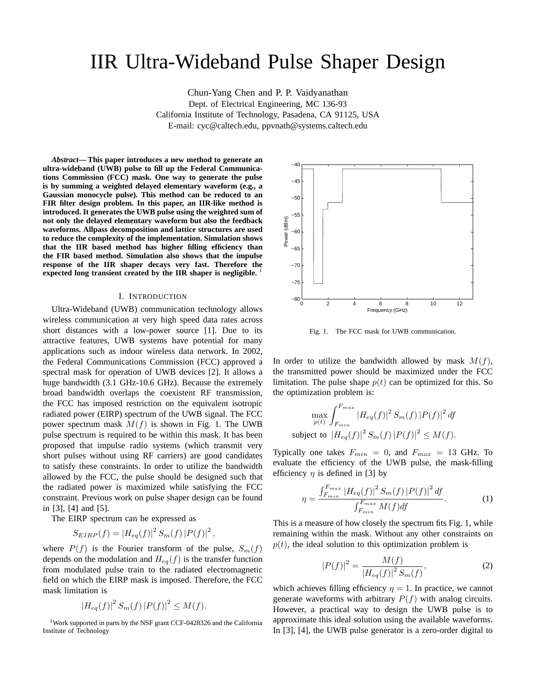# IIR Ultra-Wideband Pulse Shaper Design

Chun-Yang Chen and P. P. Vaidyanathan Dept. of Electrical Engineering, MC 136-93 California Institute of Technology, Pasadena, CA 91125, USA

E-mail: cyc@caltech.edu, ppvnath@systems.caltech.edu

*Abstract***— This paper introduces a new method to generate an ultra-wideband (UWB) pulse to fill up the Federal Communications Commission (FCC) mask. One way to generate the pulse is by summing a weighted delayed elementary waveform (e.g., a Gaussian monocycle pulse). This method can be reduced to an FIR filter design problem. In this paper, an IIR-like method is introduced. It generates the UWB pulse using the weighted sum of not only the delayed elementary waveform but also the feedback waveforms. Allpass decomposition and lattice structures are used to reduce the complexity of the implementation. Simulation shows that the IIR based method has higher filling efficiency than the FIR based method. Simulation also shows that the impulse response of the IIR shaper decays very fast. Therefore the expected long transient created by the IIR shaper is negligible.** <sup>1</sup>

### I. INTRODUCTION

Ultra-Wideband (UWB) communication technology allows wireless communication at very high speed data rates across short distances with a low-power source [1]. Due to its attractive features, UWB systems have potential for many applications such as indoor wireless data network. In 2002, the Federal Communications Commission (FCC) approved a spectral mask for operation of UWB devices [2]. It allows a huge bandwidth (3.1 GHz-10.6 GHz). Because the extremely broad bandwidth overlaps the coexistent RF transmission, the FCC has imposed restriction on the equivalent isotropic radiated power (EIRP) spectrum of the UWB signal. The FCC power spectrum mask  $M(f)$  is shown in Fig. 1. The UWB pulse spectrum is required to be within this mask. It has been proposed that impulse radio systems (which transmit very short pulses without using RF carriers) are good candidates to satisfy these constraints. In order to utilize the bandwidth allowed by the FCC, the pulse should be designed such that the radiated power is maximized while satisfying the FCC constraint. Previous work on pulse shaper design can be found in [3], [4] and [5].

The EIRP spectrum can be expressed as

$$
S_{EIRP}(f) = |H_{eq}(f)|^2 S_m(f) |P(f)|^2,
$$

where  $P(f)$  is the Fourier transform of the pulse,  $S_m(f)$ depends on the modulation and  $H_{eq}(f)$  is the transfer function from modulated pulse train to the radiated electromagnetic field on which the EIRP mask is imposed. Therefore, the FCC mask limitation is

$$
|H_{eq}(f)|^2 S_m(f) |P(f)|^2 \le M(f).
$$

<sup>1</sup>Work supported in parts by the NSF grant CCF-0428326 and the California Institute of Technology



Fig. 1. The FCC mask for UWB communication.

In order to utilize the bandwidth allowed by mask  $M(f)$ , the transmitted power should be maximized under the FCC limitation. The pulse shape  $p(t)$  can be optimized for this. So the optimization problem is:

$$
\max_{p(t)} \int_{F_{min}}^{F_{max}} |H_{eq}(f)|^2 S_m(f) |P(f)|^2 df
$$
\nsubject to 
$$
|H_{eq}(f)|^2 S_m(f) |P(f)|^2 \le M(f).
$$

Typically one takes  $F_{min} = 0$ , and  $F_{max} = 13$  GHz. To evaluate the efficiency of the UWB pulse, the mask-filling efficiency  $\eta$  is defined in [3] by

$$
\eta = \frac{\int_{F_{min}}^{F_{max}} |H_{eq}(f)|^2 S_m(f) |P(f)|^2 df}{\int_{F_{min}}^{F_{max}} M(f) df}.
$$
 (1)

This is a measure of how closely the spectrum fits Fig. 1, while remaining within the mask. Without any other constraints on  $p(t)$ , the ideal solution to this optimization problem is

$$
|P(f)|^2 = \frac{M(f)}{|H_{eq}(f)|^2 S_m(f)},
$$
\n(2)

which achieves filling efficiency  $\eta = 1$ . In practice, we cannot generate waveforms with arbitrary  $P(f)$  with analog circuits. However, a practical way to design the UWB pulse is to approximate this ideal solution using the available waveforms. In [3], [4], the UWB pulse generator is a zero-order digital to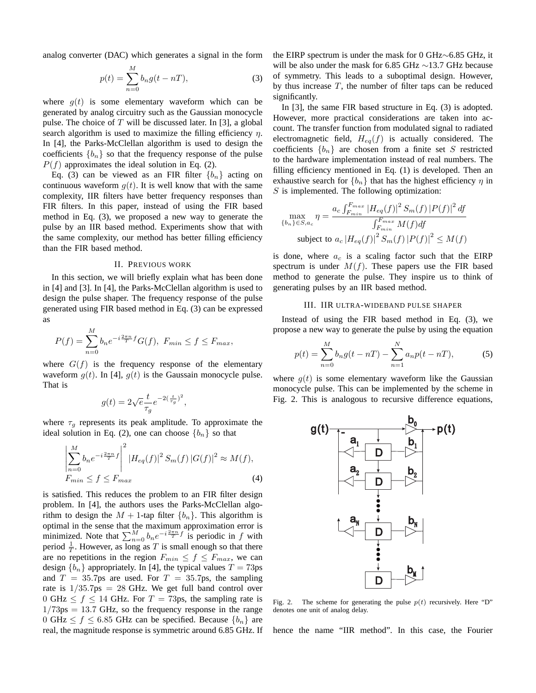analog converter (DAC) which generates a signal in the form

$$
p(t) = \sum_{n=0}^{M} b_n g(t - nT),
$$
 (3)

where  $g(t)$  is some elementary waveform which can be generated by analog circuitry such as the Gaussian monocycle pulse. The choice of T will be discussed later. In [3], a global search algorithm is used to maximize the filling efficiency  $\eta$ . In [4], the Parks-McClellan algorithm is used to design the coefficients  ${b_n}$  so that the frequency response of the pulse  $P(f)$  approximates the ideal solution in Eq. (2).

Eq. (3) can be viewed as an FIR filter  ${b_n}$  acting on continuous waveform  $g(t)$ . It is well know that with the same complexity, IIR filters have better frequency responses than FIR filters. In this paper, instead of using the FIR based method in Eq. (3), we proposed a new way to generate the pulse by an IIR based method. Experiments show that with the same complexity, our method has better filling efficiency than the FIR based method.

## II. PREVIOUS WORK

In this section, we will briefly explain what has been done in [4] and [3]. In [4], the Parks-McClellan algorithm is used to design the pulse shaper. The frequency response of the pulse generated using FIR based method in Eq. (3) can be expressed as

$$
P(f) = \sum_{n=0}^{M} b_n e^{-i\frac{2\pi n}{T}f} G(f), \ F_{min} \le f \le F_{max},
$$

where  $G(f)$  is the frequency response of the elementary waveform  $g(t)$ . In [4],  $g(t)$  is the Gaussain monocycle pulse. That is

$$
g(t) = 2\sqrt{e} \frac{t}{\tau_g} e^{-2(\frac{t}{\tau_g})^2},
$$

where  $\tau_g$  represents its peak amplitude. To approximate the ideal solution in Eq. (2), one can choose  ${b_n}$  so that

$$
\left| \sum_{n=0}^{M} b_n e^{-i \frac{2\pi n}{T} f} \right|^2 |H_{eq}(f)|^2 S_m(f) |G(f)|^2 \approx M(f),
$$
  
\n
$$
F_{min} \le f \le F_{max}
$$
\n(4)

is satisfied. This reduces the problem to an FIR filter design problem. In [4], the authors uses the Parks-McClellan algorithm to design the  $M + 1$ -tap filter  ${b_n}$ . This algorithm is optimal in the sense that the maximum approximation error is minimized. Note that  $\sum_{n=0}^{M} b_n e^{-i\frac{2\pi n}{T}f}$  is periodic in f with period  $\frac{1}{T}$ . However, as long as T is small enough so that there period  $\frac{1}{T}$ . However, as long as T is small enough so that there are no repetitions in the region  $F \leq f \leq F$  we can are no repetitions in the region  $F_{min} \le f \le F_{max}$ , we can design  ${b_n}$  appropriately. In [4], the typical values  $T = 73$ ps and  $T = 35.7$ ps are used. For  $T = 35.7$ ps, the sampling rate is  $1/35.7$ ps = 28 GHz. We get full band control over 0 GHz  $\leq f \leq 14$  GHz. For  $T = 73$ ps, the sampling rate is  $1/73$ ps = 13.7 GHz, so the frequency response in the range 0 GHz  $\leq f \leq 6.85$  GHz can be specified. Because  $\{b_n\}$  are real, the magnitude response is symmetric around 6.85 GHz. If the EIRP spectrum is under the mask for 0 GHz∼6.85 GHz, it will be also under the mask for 6.85 GHz ∼13.7 GHz because of symmetry. This leads to a suboptimal design. However, by thus increase  $T$ , the number of filter taps can be reduced significantly.

In [3], the same FIR based structure in Eq. (3) is adopted. However, more practical considerations are taken into account. The transfer function from modulated signal to radiated electromagnetic field,  $H_{eq}(f)$  is actually considered. The coefficients  ${b_n}$  are chosen from a finite set S restricted to the hardware implementation instead of real numbers. The filling efficiency mentioned in Eq. (1) is developed. Then an exhaustive search for  ${b_n}$  that has the highest efficiency  $\eta$  in  $S$  is implemented. The following optimization:

$$
\max_{\{b_n\} \in S, a_c} \eta = \frac{a_c \int_{F_{min}}^{F_{max}} |H_{eq}(f)|^2 S_m(f) |P(f)|^2 df}{\int_{F_{min}}^{F_{max}} M(f) df}
$$
  
subject to  $a_c |H_{eq}(f)|^2 S_m(f) |P(f)|^2 \le M(f)$ 

is done, where  $a_c$  is a scaling factor such that the EIRP spectrum is under  $M(f)$ . These papers use the FIR based method to generate the pulse. They inspire us to think of generating pulses by an IIR based method.

# III. IIR ULTRA-WIDEBAND PULSE SHAPER

Instead of using the FIR based method in Eq. (3), we propose a new way to generate the pulse by using the equation

$$
p(t) = \sum_{n=0}^{M} b_n g(t - nT) - \sum_{n=1}^{N} a_n p(t - nT),
$$
 (5)

where  $q(t)$  is some elementary waveform like the Gaussian monocycle pulse. This can be implemented by the scheme in Fig. 2. This is analogous to recursive difference equations,



Fig. 2. The scheme for generating the pulse  $p(t)$  recursively. Here "D" denotes one unit of analog delay.

hence the name "IIR method". In this case, the Fourier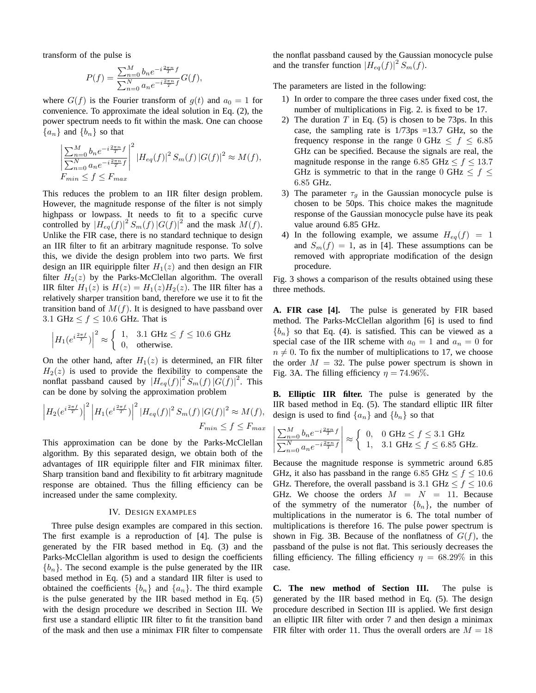transform of the pulse is

$$
P(f) = \frac{\sum_{n=0}^{M} b_n e^{-i\frac{2\pi n}{T}f}}{\sum_{n=0}^{N} a_n e^{-i\frac{2\pi n}{T}f}} G(f),
$$

where  $G(f)$  is the Fourier transform of  $g(t)$  and  $a_0 = 1$  for convenience. To approximate the ideal solution in Eq. (2), the power spectrum needs to fit within the mask. One can choose  ${a_n}$  and  ${b_n}$  so that

$$
\left| \frac{\sum_{n=0}^{M} b_n e^{-i\frac{2\pi n}{T}f}}{\sum_{n=0}^{N} a_n e^{-i\frac{2\pi n}{T}f}} \right|^2 |H_{eq}(f)|^2 S_m(f) |G(f)|^2 \approx M(f),
$$
  
\n
$$
F_{min} \le f \le F_{max}
$$

This reduces the problem to an IIR filter design problem. However, the magnitude response of the filter is not simply highpass or lowpass. It needs to fit to a specific curve controlled by  $|H_{eq}(f)|^2 S_m(f) |G(f)|^2$  and the mask  $M(f)$ . Unlike the FIR case, there is no standard technique to design an IIR filter to fit an arbitrary magnitude response. To solve this, we divide the design problem into two parts. We first design an IIR equiripple filter  $H_1(z)$  and then design an FIR filter  $H_2(z)$  by the Parks-McClellan algorithm. The overall IIR filter  $H_1(z)$  is  $H(z) = H_1(z)H_2(z)$ . The IIR filter has a relatively sharper transition band, therefore we use it to fit the transition band of  $M(f)$ . It is designed to have passband over 3.1 GHz  $\leq f \leq 10.6$  GHz. That is

$$
\left| H_1(e^{i\frac{2\pi f}{T}}) \right|^2 \approx \begin{cases} 1, & 3.1 \text{ GHz} \le f \le 10.6 \text{ GHz} \\ 0, & \text{otherwise.} \end{cases}
$$

On the other hand, after  $H_1(z)$  is determined, an FIR filter  $H_2(z)$  is used to provide the flexibility to compensate the nonflat passband caused by  $|H_{eq}(f)|^2 S_m(f) |G(f)|^2$ . This can be done by solving the approximation problem

$$
\left| H_2(e^{i\frac{2\pi f}{T}}) \right|^2 \left| H_1(e^{i\frac{2\pi f}{T}}) \right|^2 |H_{eq}(f)|^2 S_m(f) |G(f)|^2 \approx M(f),
$$
  

$$
F_{min} \le f \le F_{max}
$$

This approximation can be done by the Parks-McClellan algorithm. By this separated design, we obtain both of the advantages of IIR equiripple filter and FIR minimax filter. Sharp transition band and flexibility to fit arbitrary magnitude response are obtained. Thus the filling efficiency can be increased under the same complexity.

### IV. DESIGN EXAMPLES

Three pulse design examples are compared in this section. The first example is a reproduction of [4]. The pulse is generated by the FIR based method in Eq. (3) and the Parks-McClellan algorithm is used to design the coefficients  ${b_n}$ . The second example is the pulse generated by the IIR based method in Eq. (5) and a standard IIR filter is used to obtained the coefficients  ${b_n}$  and  ${a_n}$ . The third example is the pulse generated by the IIR based method in Eq. (5) with the design procedure we described in Section III. We first use a standard elliptic IIR filter to fit the transition band of the mask and then use a minimax FIR filter to compensate the nonflat passband caused by the Gaussian monocycle pulse and the transfer function  $|H_{eq}(f)|^2 S_m(f)$ .

The parameters are listed in the following:

- 1) In order to compare the three cases under fixed cost, the number of multiplications in Fig. 2. is fixed to be 17.
- 2) The duration  $T$  in Eq. (5) is chosen to be 73ps. In this case, the sampling rate is 1/73ps =13.7 GHz, so the frequency response in the range 0 GHz  $\leq f \leq 6.85$ GHz can be specified. Because the signals are real, the magnitude response in the range 6.85 GHz  $\leq f \leq 13.7$ GHz is symmetric to that in the range 0 GHz  $\leq f \leq$ 6.85 GHz.
- 3) The parameter  $\tau_g$  in the Gaussian monocycle pulse is chosen to be 50ps. This choice makes the magnitude response of the Gaussian monocycle pulse have its peak value around 6.85 GHz.
- 4) In the following example, we assume  $H_{eq}(f) = 1$ and  $S_m(f)=1$ , as in [4]. These assumptions can be removed with appropriate modification of the design procedure.

Fig. 3 shows a comparison of the results obtained using these three methods.

**A. FIR case [4].** The pulse is generated by FIR based method. The Parks-McClellan algorithm [6] is used to find  ${b_n}$  so that Eq. (4). is satisfied. This can be viewed as a special case of the IIR scheme with  $a_0 = 1$  and  $a_n = 0$  for  $n \neq 0$ . To fix the number of multiplications to 17, we choose the order  $M = 32$ . The pulse power spectrum is shown in Fig. 3A. The filling efficiency  $\eta = 74.96\%$ .

**B. Elliptic IIR filter.** The pulse is generated by the IIR based method in Eq. (5). The standard elliptic IIR filter design is used to find  $\{a_n\}$  and  $\{b_n\}$  so that

$$
\left| \frac{\sum_{n=0}^{M} b_n e^{-i \frac{2\pi n}{T} f}}{\sum_{n=0}^{N} a_n e^{-i \frac{2\pi n}{T} f}} \right| \approx \begin{cases} 0, & 0 \text{ GHz} \le f \le 3.1 \text{ GHz} \\ 1, & 3.1 \text{ GHz} \le f \le 6.85 \text{ GHz.} \end{cases}
$$

Because the magnitude response is symmetric around 6.85 GHz, it also has passband in the range 6.85 GHz  $\leq f \leq 10.6$ GHz. Therefore, the overall passband is 3.1 GHz  $\leq f \leq 10.6$ GHz. We choose the orders  $M = N = 11$ . Because of the symmetry of the numerator  ${b_n}$ , the number of multiplications in the numerator is 6. The total number of multiplications is therefore 16. The pulse power spectrum is shown in Fig. 3B. Because of the nonflatness of  $G(f)$ , the passband of the pulse is not flat. This seriously decreases the filling efficiency. The filling efficiency  $\eta = 68.29\%$  in this case.

**C. The new method of Section III.** The pulse is generated by the IIR based method in Eq. (5). The design procedure described in Section III is applied. We first design an elliptic IIR filter with order 7 and then design a minimax FIR filter with order 11. Thus the overall orders are  $M = 18$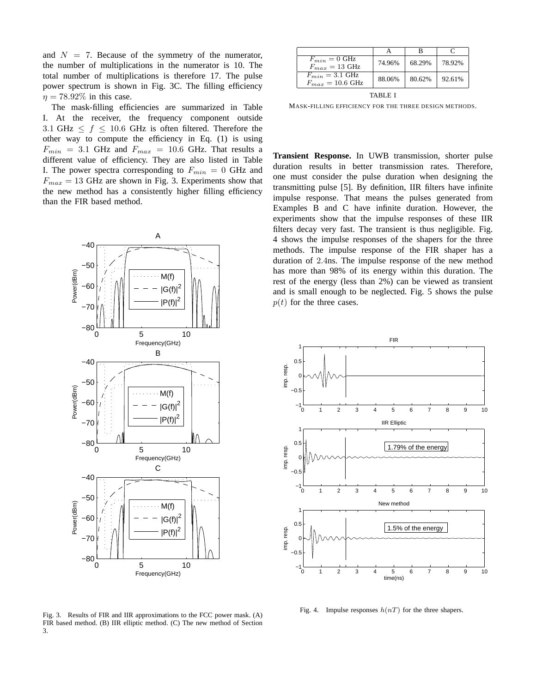and  $N = 7$ . Because of the symmetry of the numerator, the number of multiplications in the numerator is 10. The total number of multiplications is therefore 17. The pulse power spectrum is shown in Fig. 3C. The filling efficiency  $\eta = 78.92\%$  in this case.

The mask-filling efficiencies are summarized in Table I. At the receiver, the frequency component outside 3.1 GHz  $\leq f \leq 10.6$  GHz is often filtered. Therefore the other way to compute the efficiency in Eq. (1) is using  $F_{min}$  = 3.1 GHz and  $F_{max}$  = 10.6 GHz. That results a different value of efficiency. They are also listed in Table I. The power spectra corresponding to  $F_{min} = 0$  GHz and  $F_{max} = 13$  GHz are shown in Fig. 3. Experiments show that the new method has a consistently higher filling efficiency than the FIR based method.



A B C  $F_{min} = 0$  GHz  $F_{max} = 13 \text{ GHz}$  74.96% 68.29% 78.92%  $F_{min} = 3.1 \text{ GHz}$  $F_{max} = 3.1 \text{ GHz}$  88.06% 80.62% 92.61% TABLE I

MASK-FILLING EFFICIENCY FOR THE THREE DESIGN METHODS.

**Transient Response.** In UWB transmission, shorter pulse duration results in better transmission rates. Therefore, one must consider the pulse duration when designing the transmitting pulse [5]. By definition, IIR filters have infinite impulse response. That means the pulses generated from Examples B and C have infinite duration. However, the experiments show that the impulse responses of these IIR filters decay very fast. The transient is thus negligible. Fig. 4 shows the impulse responses of the shapers for the three methods. The impulse response of the FIR shaper has a duration of 2.4ns. The impulse response of the new method has more than 98% of its energy within this duration. The rest of the energy (less than 2%) can be viewed as transient and is small enough to be neglected. Fig. 5 shows the pulse  $p(t)$  for the three cases.



Fig. 4. Impulse responses  $h(nT)$  for the three shapers.

Fig. 3. Results of FIR and IIR approximations to the FCC power mask. (A) FIR based method. (B) IIR elliptic method. (C) The new method of Section 3.